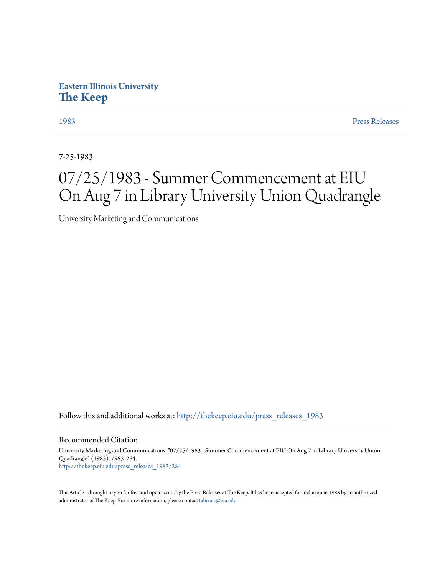## **Eastern Illinois University [The Keep](http://thekeep.eiu.edu?utm_source=thekeep.eiu.edu%2Fpress_releases_1983%2F284&utm_medium=PDF&utm_campaign=PDFCoverPages)**

[1983](http://thekeep.eiu.edu/press_releases_1983?utm_source=thekeep.eiu.edu%2Fpress_releases_1983%2F284&utm_medium=PDF&utm_campaign=PDFCoverPages) [Press Releases](http://thekeep.eiu.edu/press_releases_collection?utm_source=thekeep.eiu.edu%2Fpress_releases_1983%2F284&utm_medium=PDF&utm_campaign=PDFCoverPages)

7-25-1983

## 07/25/1983 - Summer Commencement at EIU On Aug 7 in Library University Union Quadrangle

University Marketing and Communications

Follow this and additional works at: [http://thekeep.eiu.edu/press\\_releases\\_1983](http://thekeep.eiu.edu/press_releases_1983?utm_source=thekeep.eiu.edu%2Fpress_releases_1983%2F284&utm_medium=PDF&utm_campaign=PDFCoverPages)

Recommended Citation

University Marketing and Communications, "07/25/1983 - Summer Commencement at EIU On Aug 7 in Library University Union Quadrangle" (1983). *1983*. 284. [http://thekeep.eiu.edu/press\\_releases\\_1983/284](http://thekeep.eiu.edu/press_releases_1983/284?utm_source=thekeep.eiu.edu%2Fpress_releases_1983%2F284&utm_medium=PDF&utm_campaign=PDFCoverPages)

This Article is brought to you for free and open access by the Press Releases at The Keep. It has been accepted for inclusion in 1983 by an authorized administrator of The Keep. For more information, please contact [tabruns@eiu.edu.](mailto:tabruns@eiu.edu)